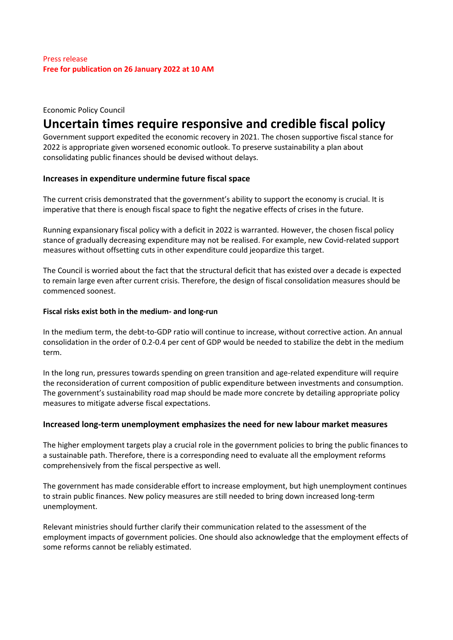## Economic Policy Council

# **Uncertain times require responsive and credible fiscal policy**

Government support expedited the economic recovery in 2021. The chosen supportive fiscal stance for 2022 is appropriate given worsened economic outlook. To preserve sustainability a plan about consolidating public finances should be devised without delays.

## **Increases in expenditure undermine future fiscal space**

The current crisis demonstrated that the government's ability to support the economy is crucial. It is imperative that there is enough fiscal space to fight the negative effects of crises in the future.

Running expansionary fiscal policy with a deficit in 2022 is warranted. However, the chosen fiscal policy stance of gradually decreasing expenditure may not be realised. For example, new Covid-related support measures without offsetting cuts in other expenditure could jeopardize this target.

The Council is worried about the fact that the structural deficit that has existed over a decade is expected to remain large even after current crisis. Therefore, the design of fiscal consolidation measures should be commenced soonest.

## **Fiscal risks exist both in the medium- and long-run**

In the medium term, the debt-to-GDP ratio will continue to increase, without corrective action. An annual consolidation in the order of 0.2-0.4 per cent of GDP would be needed to stabilize the debt in the medium term.

In the long run, pressures towards spending on green transition and age-related expenditure will require the reconsideration of current composition of public expenditure between investments and consumption. The government's sustainability road map should be made more concrete by detailing appropriate policy measures to mitigate adverse fiscal expectations.

## **Increased long-term unemployment emphasizes the need for new labour market measures**

The higher employment targets play a crucial role in the government policies to bring the public finances to a sustainable path. Therefore, there is a corresponding need to evaluate all the employment reforms comprehensively from the fiscal perspective as well.

The government has made considerable effort to increase employment, but high unemployment continues to strain public finances. New policy measures are still needed to bring down increased long-term unemployment.

Relevant ministries should further clarify their communication related to the assessment of the employment impacts of government policies. One should also acknowledge that the employment effects of some reforms cannot be reliably estimated.